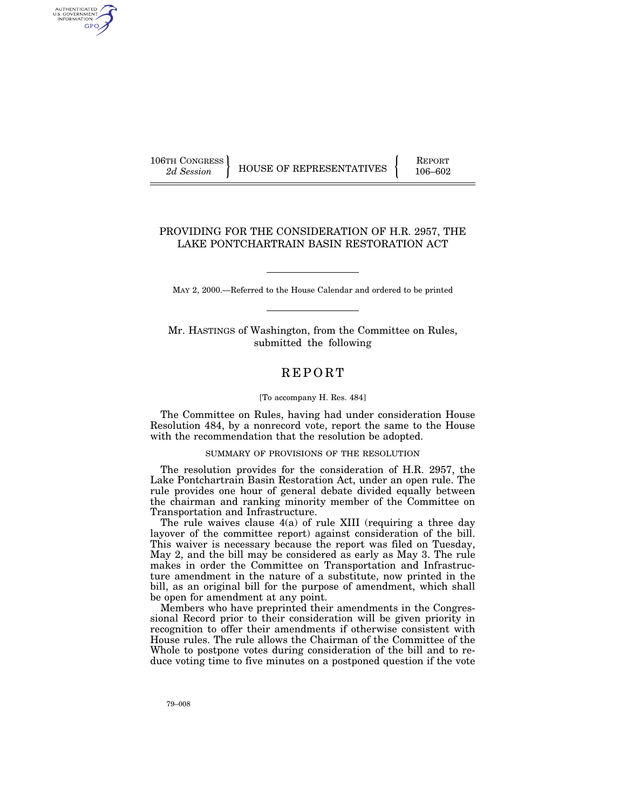106TH CONGRESS REPORT

AUTHENTICATED U.S. GOVERNMENT GPO

2d Session HOUSE OF REPRESENTATIVES 106-602

## PROVIDING FOR THE CONSIDERATION OF H.R. 2957, THE LAKE PONTCHARTRAIN BASIN RESTORATION ACT

MAY 2, 2000.—Referred to the House Calendar and ordered to be printed

Mr. HASTINGS of Washington, from the Committee on Rules, submitted the following

## REPORT

## [To accompany H. Res. 484]

The Committee on Rules, having had under consideration House Resolution 484, by a nonrecord vote, report the same to the House with the recommendation that the resolution be adopted.

## SUMMARY OF PROVISIONS OF THE RESOLUTION

The resolution provides for the consideration of H.R. 2957, the Lake Pontchartrain Basin Restoration Act, under an open rule. The rule provides one hour of general debate divided equally between the chairman and ranking minority member of the Committee on Transportation and Infrastructure.

The rule waives clause  $4(a)$  of rule XIII (requiring a three day layover of the committee report) against consideration of the bill. This waiver is necessary because the report was filed on Tuesday, May 2, and the bill may be considered as early as May 3. The rule makes in order the Committee on Transportation and Infrastructure amendment in the nature of a substitute, now printed in the bill, as an original bill for the purpose of amendment, which shall be open for amendment at any point.

Members who have preprinted their amendments in the Congressional Record prior to their consideration will be given priority in recognition to offer their amendments if otherwise consistent with House rules. The rule allows the Chairman of the Committee of the Whole to postpone votes during consideration of the bill and to reduce voting time to five minutes on a postponed question if the vote